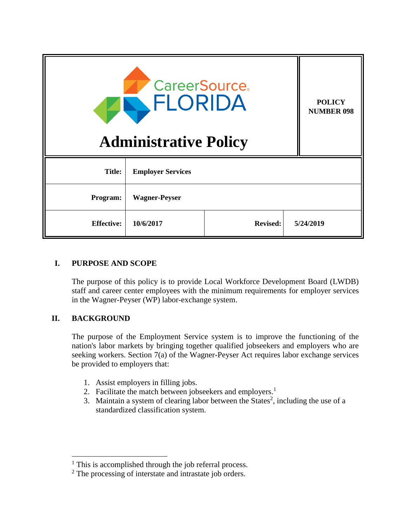| <b>CareerSource.</b><br>ELORIDA<br><b>Administrative Policy</b> |                          |                 |  | <b>POLICY</b><br><b>NUMBER 098</b> |
|-----------------------------------------------------------------|--------------------------|-----------------|--|------------------------------------|
| <b>Title:</b>                                                   | <b>Employer Services</b> |                 |  |                                    |
| Program:                                                        | <b>Wagner-Peyser</b>     |                 |  |                                    |
| <b>Effective:</b>                                               | 10/6/2017                | <b>Revised:</b> |  | 5/24/2019                          |

## **I. PURPOSE AND SCOPE**

The purpose of this policy is to provide Local Workforce Development Board (LWDB) staff and career center employees with the minimum requirements for employer services in the Wagner-Peyser (WP) labor-exchange system.

### **II. BACKGROUND**

 $\overline{a}$ 

The purpose of the Employment Service system is to improve the functioning of the nation's labor markets by bringing together qualified jobseekers and employers who are seeking workers. Section 7(a) of the Wagner-Peyser Act requires labor exchange services be provided to employers that:

- 1. Assist employers in filling jobs.
- 2. Facilitate the match between jobseekers and employers.<sup>1</sup>
- 3. Maintain a system of clearing labor between the States<sup>2</sup>, including the use of a standardized classification system.

 $<sup>1</sup>$  This is accomplished through the job referral process.</sup>

<sup>&</sup>lt;sup>2</sup> The processing of interstate and intrastate job orders.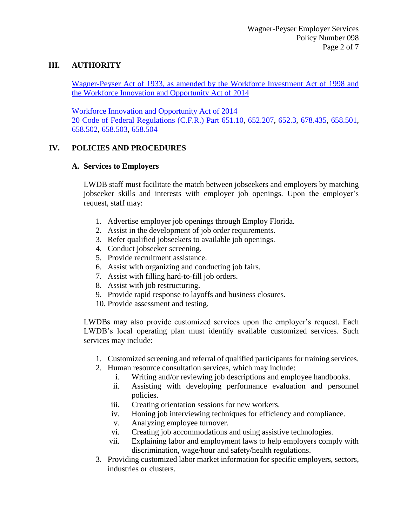### **III. AUTHORITY**

Wagner-Peyser Act of 1933, as amended by the Workforce Investment Act of 1998 and the Workforce Innovation and Opportunity Act of 2014

Workforce Innovation and Opportunity Act of 2014 20 Code of Federal Regulations (C.F.R.) Part 651.10, 652.207, 652.3, 678.435, 658.501, 658.502, 658.503, 658.504

### **IV. POLICIES AND PROCEDURES**

#### **A. Services to Employers**

LWDB staff must facilitate the match between jobseekers and employers by matching jobseeker skills and interests with employer job openings. Upon the employer's request, staff may:

- 1. Advertise employer job openings through Employ Florida.
- 2. Assist in the development of job order requirements.
- 3. Refer qualified jobseekers to available job openings.
- 4. Conduct jobseeker screening.
- 5. Provide recruitment assistance.
- 6. Assist with organizing and conducting job fairs.
- 7. Assist with filling hard-to-fill job orders.
- 8. Assist with job restructuring.
- 9. Provide rapid response to layoffs and business closures.
- 10. Provide assessment and testing.

LWDBs may also provide customized services upon the employer's request. Each LWDB's local operating plan must identify available customized services. Such services may include:

- 1. Customized screening and referral of qualified participants for training services.
- 2. Human resource consultation services, which may include:
	- i. Writing and/or reviewing job descriptions and employee handbooks.
	- ii. Assisting with developing performance evaluation and personnel policies.
	- iii. Creating orientation sessions for new workers.
	- iv. Honing job interviewing techniques for efficiency and compliance.
	- v. Analyzing employee turnover.
	- vi. Creating job accommodations and using assistive technologies.
	- vii. Explaining labor and employment laws to help employers comply with discrimination, wage/hour and safety/health regulations.
- 3. Providing customized labor market information for specific employers, sectors, industries or clusters.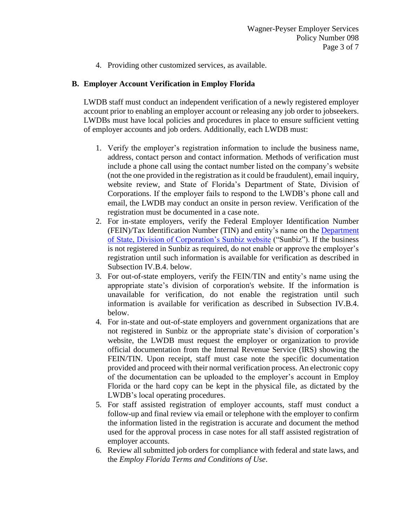4. Providing other customized services, as available.

#### **B. Employer Account Verification in Employ Florida**

LWDB staff must conduct an independent verification of a newly registered employer account prior to enabling an employer account or releasing any job order to jobseekers. LWDBs must have local policies and procedures in place to ensure sufficient vetting of employer accounts and job orders. Additionally, each LWDB must:

- 1. Verify the employer's registration information to include the business name, address, contact person and contact information. Methods of verification must include a phone call using the contact number listed on the company's website (not the one provided in the registration as it could be fraudulent), email inquiry, website review, and State of Florida's Department of State, Division of Corporations. If the employer fails to respond to the LWDB's phone call and email, the LWDB may conduct an onsite in person review. Verification of the registration must be documented in a case note.
- 2. For in-state employers, verify the Federal Employer Identification Number (FEIN)/Tax Identification Number (TIN) and entity's name on the Department of State, Division of Corporation's Sunbiz website ("Sunbiz"). If the business is not registered in Sunbiz as required, do not enable or approve the employer's registration until such information is available for verification as described in Subsection IV.B.4. below.
- 3. For out-of-state employers, verify the FEIN/TIN and entity's name using the appropriate state's division of corporation's website. If the information is unavailable for verification, do not enable the registration until such information is available for verification as described in Subsection IV.B.4. below.
- 4. For in-state and out-of-state employers and government organizations that are not registered in Sunbiz or the appropriate state's division of corporation's website, the LWDB must request the employer or organization to provide official documentation from the Internal Revenue Service (IRS) showing the FEIN/TIN. Upon receipt, staff must case note the specific documentation provided and proceed with their normal verification process. An electronic copy of the documentation can be uploaded to the employer's account in Employ Florida or the hard copy can be kept in the physical file, as dictated by the LWDB's local operating procedures.
- 5. For staff assisted registration of employer accounts, staff must conduct a follow-up and final review via email or telephone with the employer to confirm the information listed in the registration is accurate and document the method used for the approval process in case notes for all staff assisted registration of employer accounts.
- 6. Review all submitted job orders for compliance with federal and state laws, and the *Employ Florida Terms and Conditions of Use*.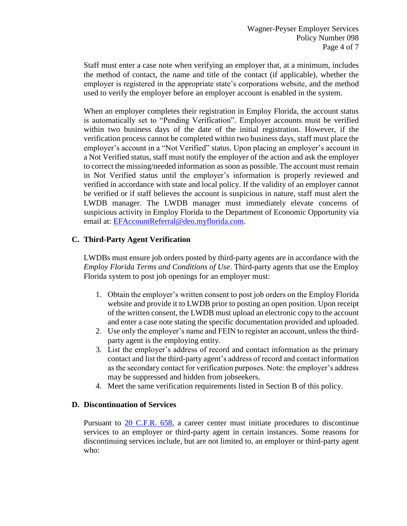Staff must enter a case note when verifying an employer that, at a minimum, includes the method of contact, the name and title of the contact (if applicable), whether the employer is registered in the appropriate state's corporations website, and the method used to verify the employer before an employer account is enabled in the system.

When an employer completes their registration in Employ Florida, the account status is automatically set to "Pending Verification". Employer accounts must be verified within two business days of the date of the initial registration. However, if the verification process cannot be completed within two business days, staff must place the employer's account in a "Not Verified" status. Upon placing an employer's account in a Not Verified status, staff must notify the employer of the action and ask the employer to correct the missing/needed information as soon as possible. The account must remain in Not Verified status until the employer's information is properly reviewed and verified in accordance with state and local policy. If the validity of an employer cannot be verified or if staff believes the account is suspicious in nature, staff must alert the LWDB manager. The LWDB manager must immediately elevate concerns of suspicious activity in Employ Florida to the Department of Economic Opportunity via email at: EFAccountReferral@deo.myflorida.com.

### **C. Third-Party Agent Verification**

LWDBs must ensure job orders posted by third-party agents are in accordance with the *Employ Florida Terms and Conditions of Use*. Third-party agents that use the Employ Florida system to post job openings for an employer must:

- 1. Obtain the employer's written consent to post job orders on the Employ Florida website and provide it to LWDB prior to posting an open position. Upon receipt of the written consent, the LWDB must upload an electronic copy to the account and enter a case note stating the specific documentation provided and uploaded.
- 2. Use only the employer's name and FEIN to register an account, unless the thirdparty agent is the employing entity.
- 3. List the employer's address of record and contact information as the primary contact and list the third-party agent's address of record and contact information as the secondary contact for verification purposes. Note: the employer's address may be suppressed and hidden from jobseekers.
- 4. Meet the same verification requirements listed in Section B of this policy.

### **D. Discontinuation of Services**

Pursuant to 20 C.F.R. 658, a career center must initiate procedures to discontinue services to an employer or third-party agent in certain instances. Some reasons for discontinuing services include, but are not limited to, an employer or third-party agent who: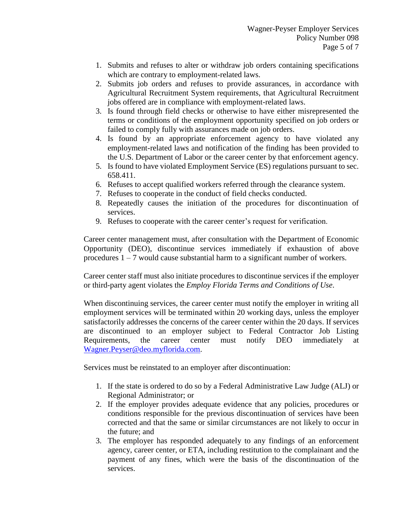- 1. Submits and refuses to alter or withdraw job orders containing specifications which are contrary to employment-related laws.
- 2. Submits job orders and refuses to provide assurances, in accordance with Agricultural Recruitment System requirements, that Agricultural Recruitment jobs offered are in compliance with employment-related laws.
- 3. Is found through field checks or otherwise to have either misrepresented the terms or conditions of the employment opportunity specified on job orders or failed to comply fully with assurances made on job orders.
- 4. Is found by an appropriate enforcement agency to have violated any employment-related laws and notification of the finding has been provided to the U.S. Department of Labor or the career center by that enforcement agency.
- 5. Is found to have violated Employment Service (ES) regulations pursuant to sec. 658.411.
- 6. Refuses to accept qualified workers referred through the clearance system.
- 7. Refuses to cooperate in the conduct of field checks conducted.
- 8. Repeatedly causes the initiation of the procedures for discontinuation of services.
- 9. Refuses to cooperate with the career center's request for verification.

Career center management must, after consultation with the Department of Economic Opportunity (DEO), discontinue services immediately if exhaustion of above procedures  $1 - 7$  would cause substantial harm to a significant number of workers.

Career center staff must also initiate procedures to discontinue services if the employer or third-party agent violates the *Employ Florida Terms and Conditions of Use*.

When discontinuing services, the career center must notify the employer in writing all employment services will be terminated within 20 working days, unless the employer satisfactorily addresses the concerns of the career center within the 20 days. If services are discontinued to an employer subject to Federal Contractor Job Listing Requirements, the career center must notify DEO immediately at Wagner.Peyser@deo.myflorida.com.

Services must be reinstated to an employer after discontinuation:

- 1. If the state is ordered to do so by a Federal Administrative Law Judge (ALJ) or Regional Administrator; or
- 2. If the employer provides adequate evidence that any policies, procedures or conditions responsible for the previous discontinuation of services have been corrected and that the same or similar circumstances are not likely to occur in the future; and
- 3. The employer has responded adequately to any findings of an enforcement agency, career center, or ETA, including restitution to the complainant and the payment of any fines, which were the basis of the discontinuation of the services.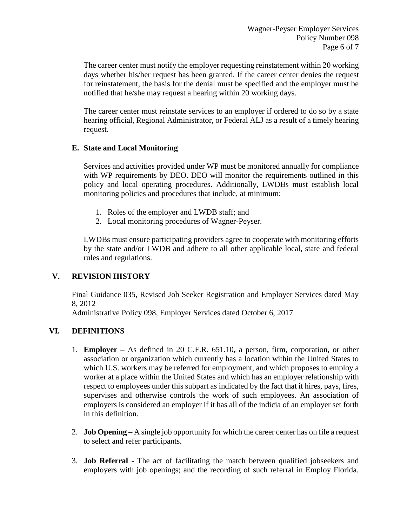The career center must notify the employer requesting reinstatement within 20 working days whether his/her request has been granted. If the career center denies the request for reinstatement, the basis for the denial must be specified and the employer must be notified that he/she may request a hearing within 20 working days.

The career center must reinstate services to an employer if ordered to do so by a state hearing official, Regional Administrator, or Federal ALJ as a result of a timely hearing request.

### **E. State and Local Monitoring**

Services and activities provided under WP must be monitored annually for compliance with WP requirements by DEO. DEO will monitor the requirements outlined in this policy and local operating procedures. Additionally, LWDBs must establish local monitoring policies and procedures that include, at minimum:

- 1. Roles of the employer and LWDB staff; and
- 2. Local monitoring procedures of Wagner-Peyser.

LWDBs must ensure participating providers agree to cooperate with monitoring efforts by the state and/or LWDB and adhere to all other applicable local, state and federal rules and regulations.

# **V. REVISION HISTORY**

Final Guidance 035, Revised Job Seeker Registration and Employer Services dated May 8, 2012

Administrative Policy 098, Employer Services dated October 6, 2017

# **VI. DEFINITIONS**

- 1. **Employer –** As defined in 20 C.F.R. 651.10**,** a person, firm, corporation, or other association or organization which currently has a location within the United States to which U.S. workers may be referred for employment, and which proposes to employ a worker at a place within the United States and which has an employer relationship with respect to employees under this subpart as indicated by the fact that it hires, pays, fires, supervises and otherwise controls the work of such employees. An association of employers is considered an employer if it has all of the indicia of an employer set forth in this definition.
- 2. **Job Opening –** A single job opportunity for which the career center has on file a request to select and refer participants.
- 3. **Job Referral -** The act of facilitating the match between qualified jobseekers and employers with job openings; and the recording of such referral in Employ Florida.